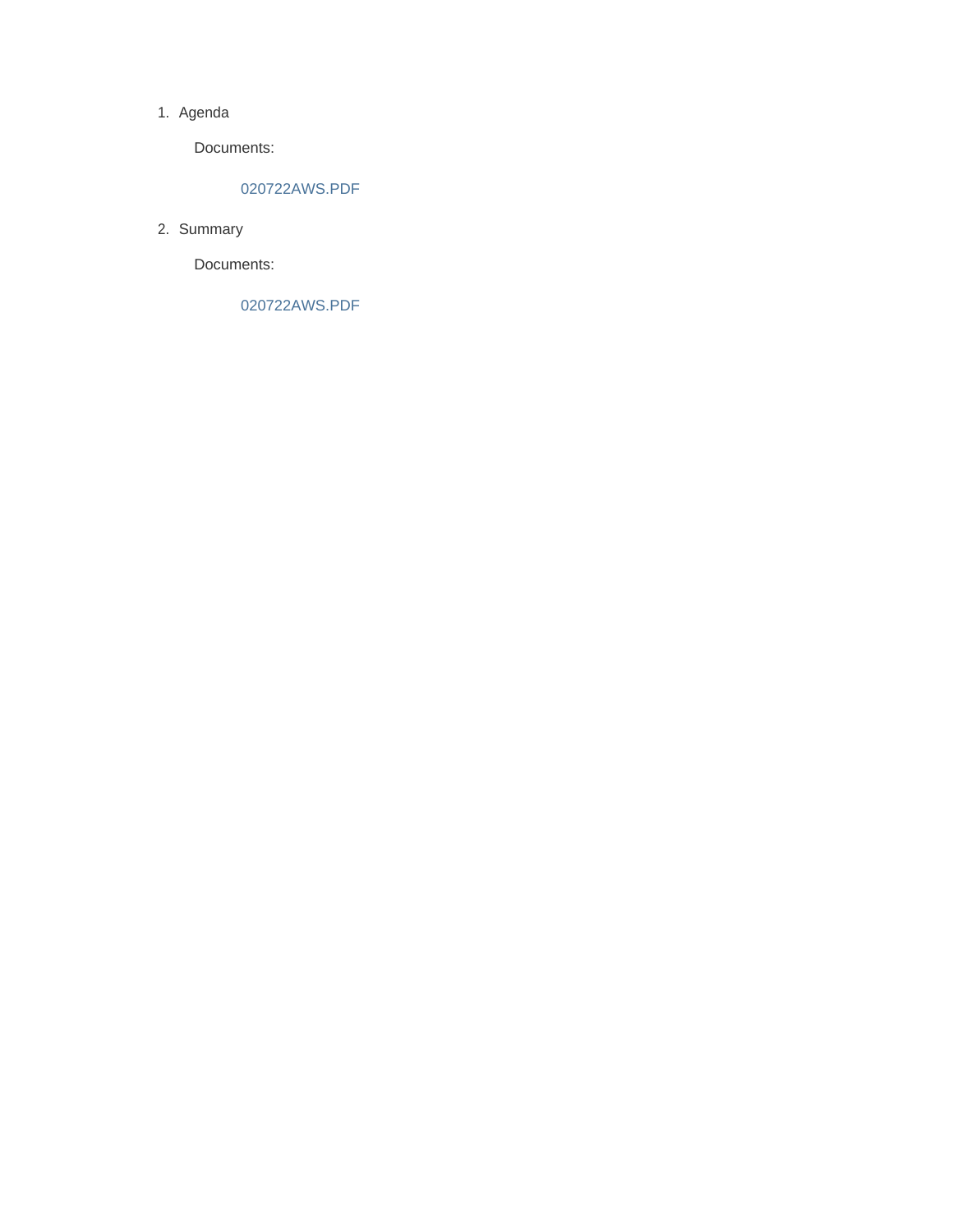#### 1. Agenda

Documents:

### 020722AWS.PDF

2. Summary

Documents:

020722AWS.PDF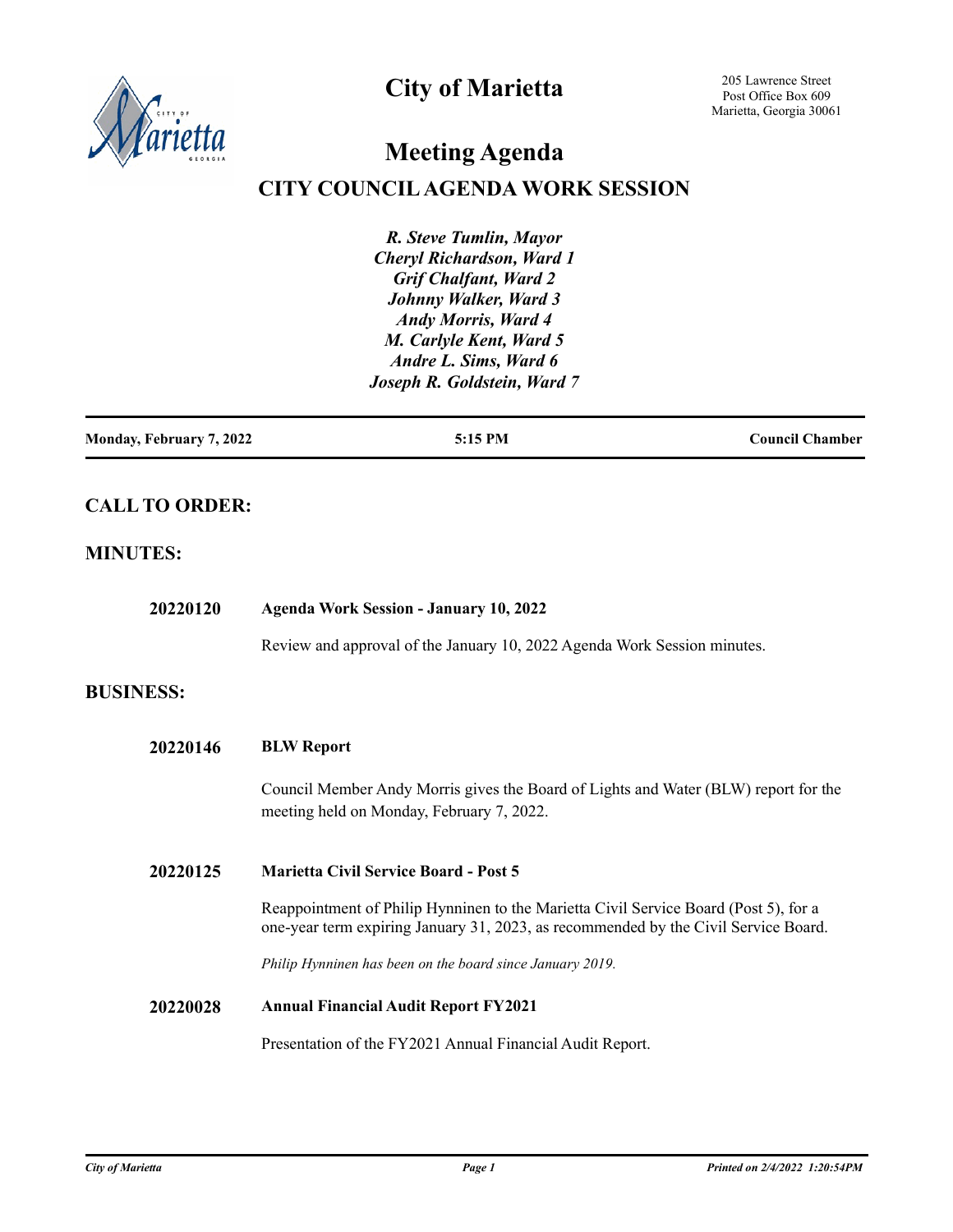

## **City of Marietta**

205 Lawrence Street Post Office Box 609 Marietta, Georgia 30061

# **Meeting Agenda**

## **CITY COUNCIL AGENDA WORK SESSION**

*R. Steve Tumlin, Mayor Cheryl Richardson, Ward 1 Grif Chalfant, Ward 2 Johnny Walker, Ward 3 Andy Morris, Ward 4 M. Carlyle Kent, Ward 5 Andre L. Sims, Ward 6 Joseph R. Goldstein, Ward 7*

| Monday, February 7, 2022 | 5:15 PM | <b>Council Chamber</b> |
|--------------------------|---------|------------------------|
|                          |         |                        |

## **CALL TO ORDER:**

#### **MINUTES:**

| 20220120         | <b>Agenda Work Session - January 10, 2022</b>                                                                                                                               |  |
|------------------|-----------------------------------------------------------------------------------------------------------------------------------------------------------------------------|--|
|                  | Review and approval of the January 10, 2022 Agenda Work Session minutes.                                                                                                    |  |
| <b>BUSINESS:</b> |                                                                                                                                                                             |  |
| 20220146         | <b>BLW Report</b>                                                                                                                                                           |  |
|                  | Council Member Andy Morris gives the Board of Lights and Water (BLW) report for the<br>meeting held on Monday, February 7, 2022.                                            |  |
| 20220125         | <b>Marietta Civil Service Board - Post 5</b>                                                                                                                                |  |
|                  | Reappointment of Philip Hynninen to the Marietta Civil Service Board (Post 5), for a<br>one-year term expiring January 31, 2023, as recommended by the Civil Service Board. |  |
|                  | Philip Hynninen has been on the board since January 2019.                                                                                                                   |  |
| 20220028         | <b>Annual Financial Audit Report FY2021</b>                                                                                                                                 |  |
|                  | Presentation of the FY2021 Annual Financial Audit Report.                                                                                                                   |  |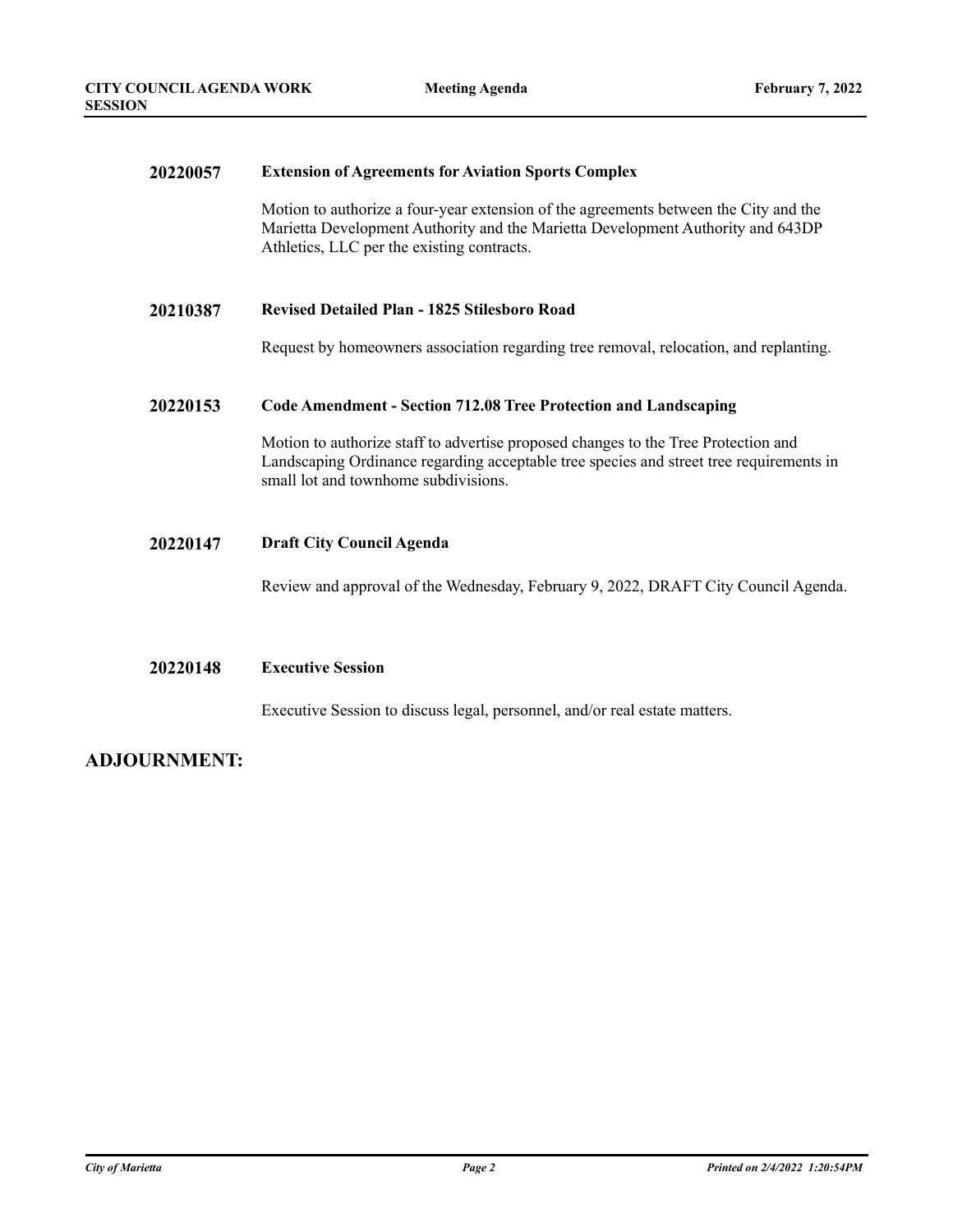#### **20220057 Extension of Agreements for Aviation Sports Complex**

Motion to authorize a four-year extension of the agreements between the City and the Marietta Development Authority and the Marietta Development Authority and 643DP Athletics, LLC per the existing contracts.

#### **20210387 Revised Detailed Plan - 1825 Stilesboro Road**

Request by homeowners association regarding tree removal, relocation, and replanting.

#### **20220153 Code Amendment - Section 712.08 Tree Protection and Landscaping**

Motion to authorize staff to advertise proposed changes to the Tree Protection and Landscaping Ordinance regarding acceptable tree species and street tree requirements in small lot and townhome subdivisions.

#### **20220147 Draft City Council Agenda**

Review and approval of the Wednesday, February 9, 2022, DRAFT City Council Agenda.

#### **20220148 Executive Session**

Executive Session to discuss legal, personnel, and/or real estate matters.

#### **ADJOURNMENT:**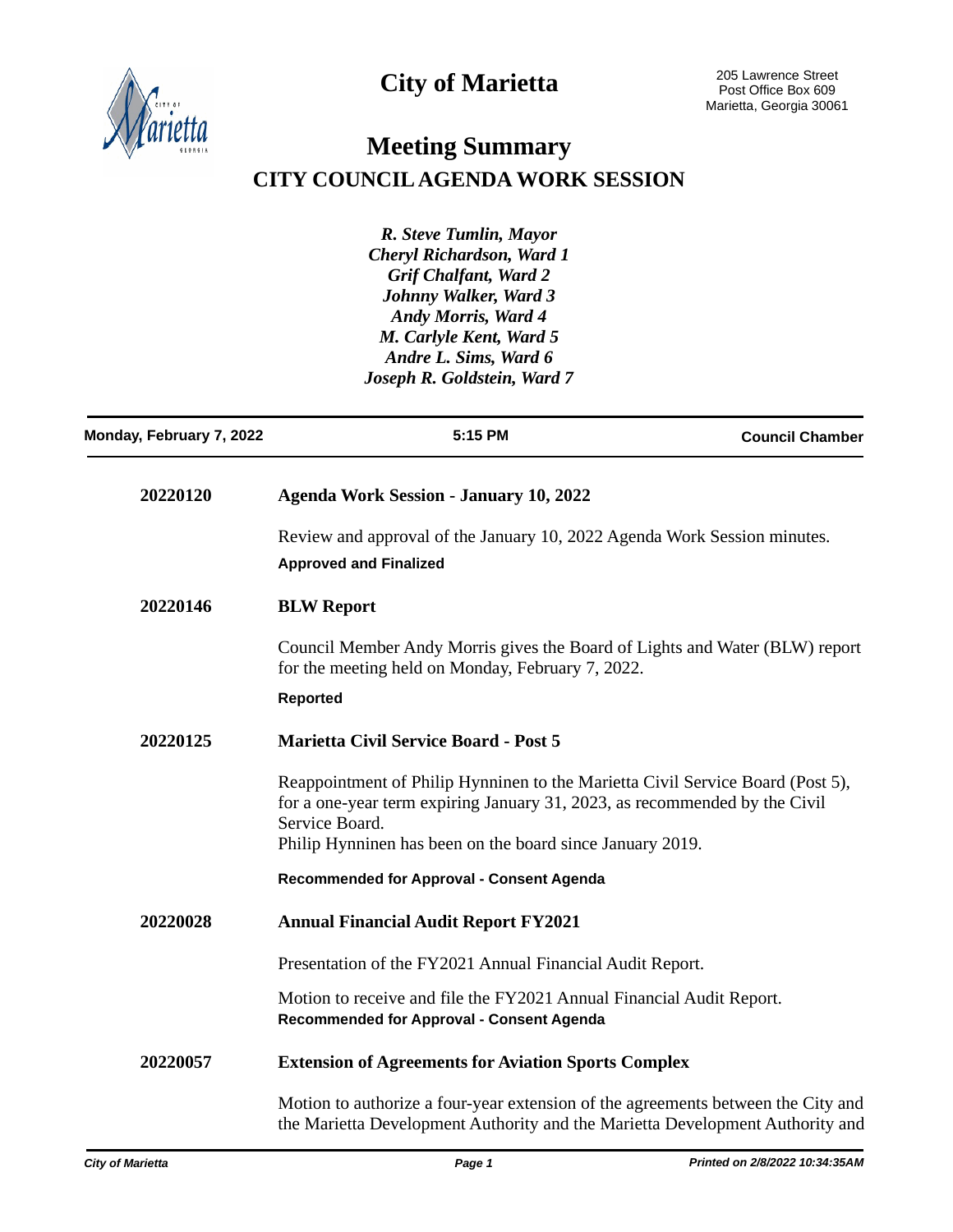



## **Meeting Summary CITY COUNCIL AGENDA WORK SESSION**

*R. Steve Tumlin, Mayor Cheryl Richardson, Ward 1 Grif Chalfant, Ward 2 Johnny Walker, Ward 3 Andy Morris, Ward 4 M. Carlyle Kent, Ward 5 Andre L. Sims, Ward 6 Joseph R. Goldstein, Ward 7*

| Monday, February 7, 2022 | 5:15 PM                                                                                                                                                                        | <b>Council Chamber</b> |
|--------------------------|--------------------------------------------------------------------------------------------------------------------------------------------------------------------------------|------------------------|
| 20220120                 | <b>Agenda Work Session - January 10, 2022</b>                                                                                                                                  |                        |
|                          | Review and approval of the January 10, 2022 Agenda Work Session minutes.<br><b>Approved and Finalized</b>                                                                      |                        |
| 20220146                 | <b>BLW Report</b>                                                                                                                                                              |                        |
|                          | Council Member Andy Morris gives the Board of Lights and Water (BLW) report<br>for the meeting held on Monday, February 7, 2022.                                               |                        |
|                          | <b>Reported</b>                                                                                                                                                                |                        |
| 20220125                 | <b>Marietta Civil Service Board - Post 5</b>                                                                                                                                   |                        |
|                          | Reappointment of Philip Hynninen to the Marietta Civil Service Board (Post 5),<br>for a one-year term expiring January 31, 2023, as recommended by the Civil<br>Service Board. |                        |
|                          | Philip Hynninen has been on the board since January 2019.                                                                                                                      |                        |
|                          | Recommended for Approval - Consent Agenda                                                                                                                                      |                        |
| 20220028                 | <b>Annual Financial Audit Report FY2021</b>                                                                                                                                    |                        |
|                          | Presentation of the FY2021 Annual Financial Audit Report.                                                                                                                      |                        |
|                          | Motion to receive and file the FY2021 Annual Financial Audit Report.<br>Recommended for Approval - Consent Agenda                                                              |                        |
| 20220057                 | <b>Extension of Agreements for Aviation Sports Complex</b>                                                                                                                     |                        |
|                          | Motion to authorize a four-year extension of the agreements between the City and<br>the Marietta Development Authority and the Marietta Development Authority and              |                        |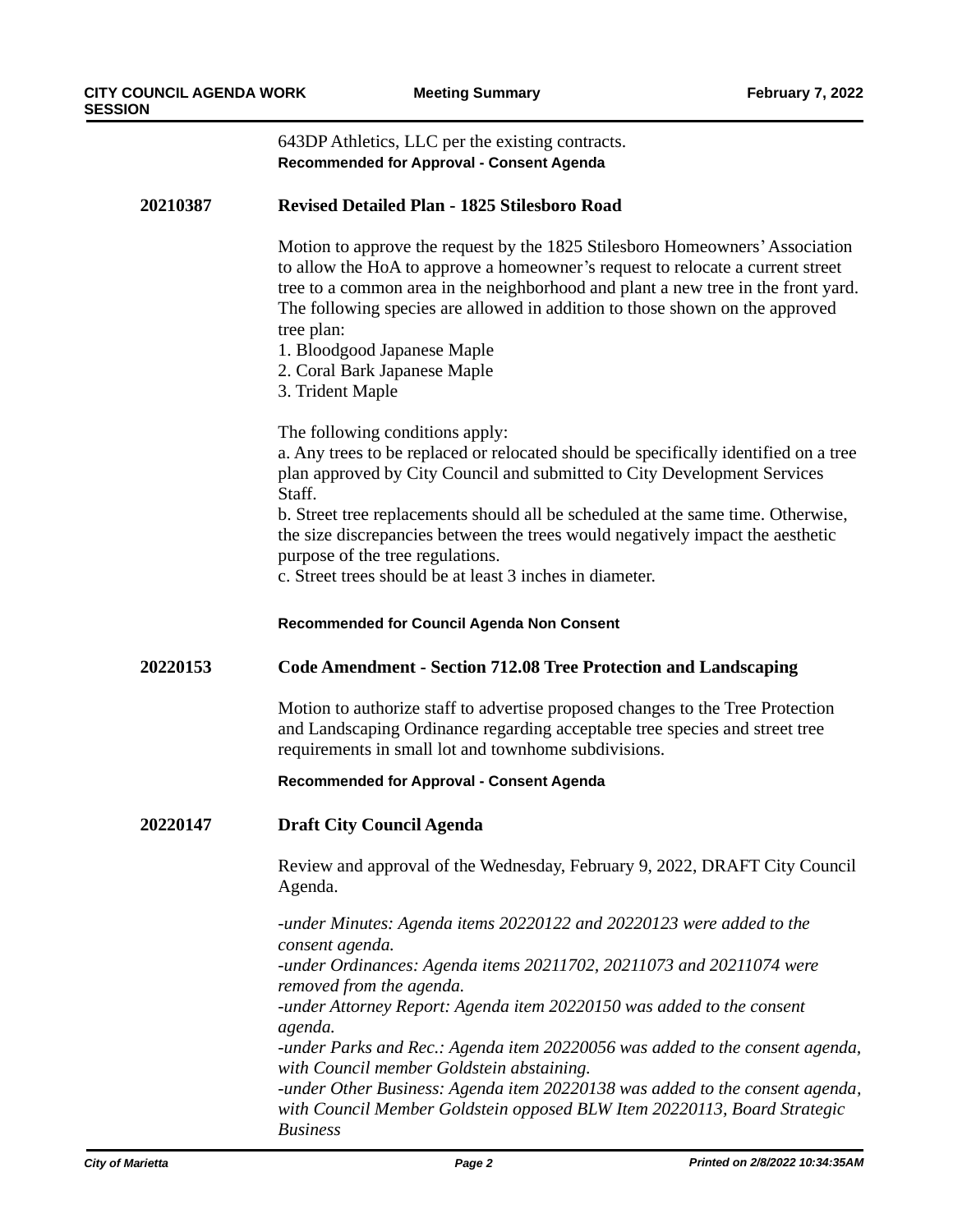| υN       |                                                                                                                                                                                                                                                                                                                                                                                                                                      |  |  |
|----------|--------------------------------------------------------------------------------------------------------------------------------------------------------------------------------------------------------------------------------------------------------------------------------------------------------------------------------------------------------------------------------------------------------------------------------------|--|--|
|          | 643DP Athletics, LLC per the existing contracts.<br><b>Recommended for Approval - Consent Agenda</b>                                                                                                                                                                                                                                                                                                                                 |  |  |
| 20210387 | <b>Revised Detailed Plan - 1825 Stilesboro Road</b>                                                                                                                                                                                                                                                                                                                                                                                  |  |  |
|          | Motion to approve the request by the 1825 Stilesboro Homeowners' Association<br>to allow the HoA to approve a homeowner's request to relocate a current street<br>tree to a common area in the neighborhood and plant a new tree in the front yard.<br>The following species are allowed in addition to those shown on the approved<br>tree plan:<br>1. Bloodgood Japanese Maple<br>2. Coral Bark Japanese Maple<br>3. Trident Maple |  |  |
|          | The following conditions apply:<br>a. Any trees to be replaced or relocated should be specifically identified on a tree<br>plan approved by City Council and submitted to City Development Services<br>Staff.<br>b. Street tree replacements should all be scheduled at the same time. Otherwise,                                                                                                                                    |  |  |
|          | the size discrepancies between the trees would negatively impact the aesthetic<br>purpose of the tree regulations.<br>c. Street trees should be at least 3 inches in diameter.                                                                                                                                                                                                                                                       |  |  |
|          | <b>Recommended for Council Agenda Non Consent</b>                                                                                                                                                                                                                                                                                                                                                                                    |  |  |
| 20220153 | <b>Code Amendment - Section 712.08 Tree Protection and Landscaping</b>                                                                                                                                                                                                                                                                                                                                                               |  |  |
|          | Motion to authorize staff to advertise proposed changes to the Tree Protection<br>and Landscaping Ordinance regarding acceptable tree species and street tree<br>requirements in small lot and townhome subdivisions.                                                                                                                                                                                                                |  |  |
|          | Recommended for Approval - Consent Agenda                                                                                                                                                                                                                                                                                                                                                                                            |  |  |
| 20220147 | <b>Draft City Council Agenda</b>                                                                                                                                                                                                                                                                                                                                                                                                     |  |  |
|          | Review and approval of the Wednesday, February 9, 2022, DRAFT City Council<br>Agenda.                                                                                                                                                                                                                                                                                                                                                |  |  |
|          | -under Minutes: Agenda items 20220122 and 20220123 were added to the<br>consent agenda.                                                                                                                                                                                                                                                                                                                                              |  |  |
|          | -under Ordinances: Agenda items 20211702, 20211073 and 20211074 were<br>removed from the agenda.                                                                                                                                                                                                                                                                                                                                     |  |  |
|          | -under Attorney Report: Agenda item 20220150 was added to the consent<br>agenda.                                                                                                                                                                                                                                                                                                                                                     |  |  |
|          | -under Parks and Rec.: Agenda item 20220056 was added to the consent agenda,<br>with Council member Goldstein abstaining.                                                                                                                                                                                                                                                                                                            |  |  |
|          | -under Other Business: Agenda item 20220138 was added to the consent agenda,<br>with Council Member Goldstein opposed BLW Item 20220113, Board Strategic                                                                                                                                                                                                                                                                             |  |  |

*Business*